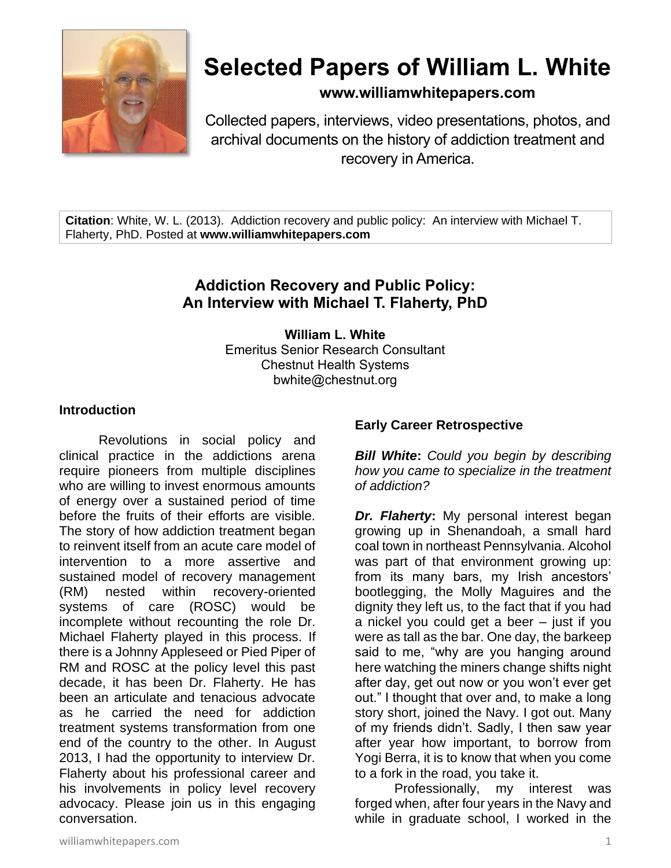

# **Selected Papers of William L. White**

**www.williamwhitepapers.com**

Collected papers, interviews, video presentations, photos, and archival documents on the history of addiction treatment and recovery in America.

**Citation**: White, W. L. (2013). Addiction recovery and public policy: An interview with Michael T. Flaherty, PhD. Posted at **www.williamwhitepapers.com**

# **Addiction Recovery and Public Policy: An Interview with Michael T. Flaherty, PhD**

**William L. White** Emeritus Senior Research Consultant Chestnut Health Systems bwhite@chestnut.org

#### **Introduction**

Revolutions in social policy and clinical practice in the addictions arena require pioneers from multiple disciplines who are willing to invest enormous amounts of energy over a sustained period of time before the fruits of their efforts are visible. The story of how addiction treatment began to reinvent itself from an acute care model of intervention to a more assertive and sustained model of recovery management (RM) nested within recovery-oriented systems of care (ROSC) would be incomplete without recounting the role Dr. Michael Flaherty played in this process. If there is a Johnny Appleseed or Pied Piper of RM and ROSC at the policy level this past decade, it has been Dr. Flaherty. He has been an articulate and tenacious advocate as he carried the need for addiction treatment systems transformation from one end of the country to the other. In August 2013, I had the opportunity to interview Dr. Flaherty about his professional career and his involvements in policy level recovery advocacy. Please join us in this engaging conversation.

#### **Early Career Retrospective**

*Bill White***:** *Could you begin by describing how you came to specialize in the treatment of addiction?*

*Dr. Flaherty***:** My personal interest began growing up in Shenandoah, a small hard coal town in northeast Pennsylvania. Alcohol was part of that environment growing up: from its many bars, my Irish ancestors' bootlegging, the Molly Maguires and the dignity they left us, to the fact that if you had a nickel you could get a beer – just if you were as tall as the bar. One day, the barkeep said to me, "why are you hanging around here watching the miners change shifts night after day, get out now or you won't ever get out." I thought that over and, to make a long story short, joined the Navy. I got out. Many of my friends didn't. Sadly, I then saw year after year how important, to borrow from Yogi Berra, it is to know that when you come to a fork in the road, you take it.

Professionally, my interest was forged when, after four years in the Navy and while in graduate school, I worked in the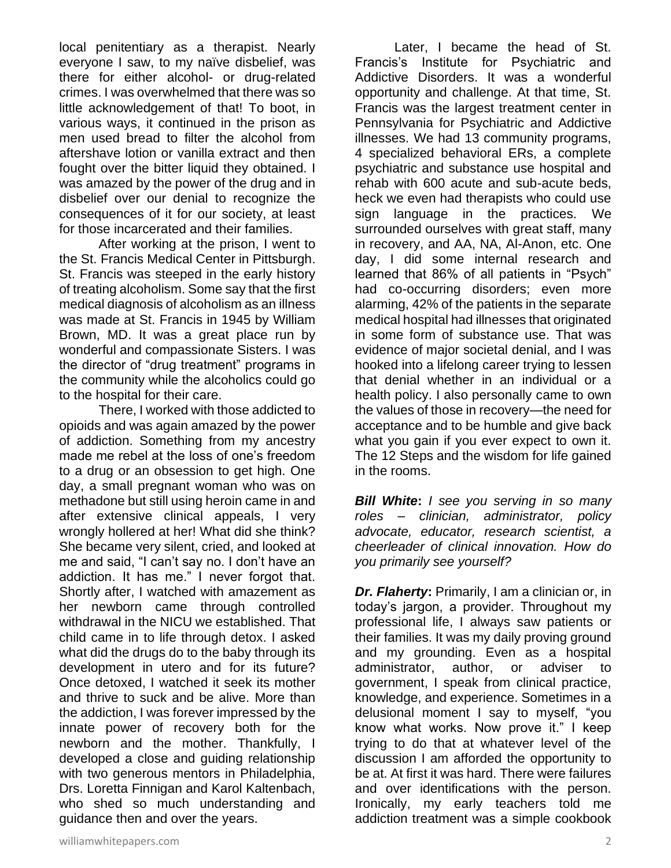local penitentiary as a therapist. Nearly everyone I saw, to my naïve disbelief, was there for either alcohol- or drug-related crimes. I was overwhelmed that there was so little acknowledgement of that! To boot, in various ways, it continued in the prison as men used bread to filter the alcohol from aftershave lotion or vanilla extract and then fought over the bitter liquid they obtained. I was amazed by the power of the drug and in disbelief over our denial to recognize the consequences of it for our society, at least for those incarcerated and their families.

After working at the prison, I went to the St. Francis Medical Center in Pittsburgh. St. Francis was steeped in the early history of treating alcoholism. Some say that the first medical diagnosis of alcoholism as an illness was made at St. Francis in 1945 by William Brown, MD. It was a great place run by wonderful and compassionate Sisters. I was the director of "drug treatment" programs in the community while the alcoholics could go to the hospital for their care.

There, I worked with those addicted to opioids and was again amazed by the power of addiction. Something from my ancestry made me rebel at the loss of one's freedom to a drug or an obsession to get high. One day, a small pregnant woman who was on methadone but still using heroin came in and after extensive clinical appeals, I very wrongly hollered at her! What did she think? She became very silent, cried, and looked at me and said, "I can't say no. I don't have an addiction. It has me." I never forgot that. Shortly after, I watched with amazement as her newborn came through controlled withdrawal in the NICU we established. That child came in to life through detox. I asked what did the drugs do to the baby through its development in utero and for its future? Once detoxed, I watched it seek its mother and thrive to suck and be alive. More than the addiction, I was forever impressed by the innate power of recovery both for the newborn and the mother. Thankfully, I developed a close and guiding relationship with two generous mentors in Philadelphia, Drs. Loretta Finnigan and Karol Kaltenbach, who shed so much understanding and guidance then and over the years.

Later, I became the head of St. Francis's Institute for Psychiatric and Addictive Disorders. It was a wonderful opportunity and challenge. At that time, St. Francis was the largest treatment center in Pennsylvania for Psychiatric and Addictive illnesses. We had 13 community programs, 4 specialized behavioral ERs, a complete psychiatric and substance use hospital and rehab with 600 acute and sub-acute beds, heck we even had therapists who could use sign language in the practices. We surrounded ourselves with great staff, many in recovery, and AA, NA, Al-Anon, etc. One day, I did some internal research and learned that 86% of all patients in "Psych" had co-occurring disorders; even more alarming, 42% of the patients in the separate medical hospital had illnesses that originated in some form of substance use. That was evidence of major societal denial, and I was hooked into a lifelong career trying to lessen that denial whether in an individual or a health policy. I also personally came to own the values of those in recovery—the need for acceptance and to be humble and give back what you gain if you ever expect to own it. The 12 Steps and the wisdom for life gained in the rooms.

*Bill White***:** *I see you serving in so many roles – clinician, administrator, policy advocate, educator, research scientist, a cheerleader of clinical innovation. How do you primarily see yourself?*

*Dr. Flaherty***:** Primarily, I am a clinician or, in today's jargon, a provider. Throughout my professional life, I always saw patients or their families. It was my daily proving ground and my grounding. Even as a hospital administrator, author, or adviser to government, I speak from clinical practice, knowledge, and experience. Sometimes in a delusional moment I say to myself, "you know what works. Now prove it." I keep trying to do that at whatever level of the discussion I am afforded the opportunity to be at. At first it was hard. There were failures and over identifications with the person. Ironically, my early teachers told me addiction treatment was a simple cookbook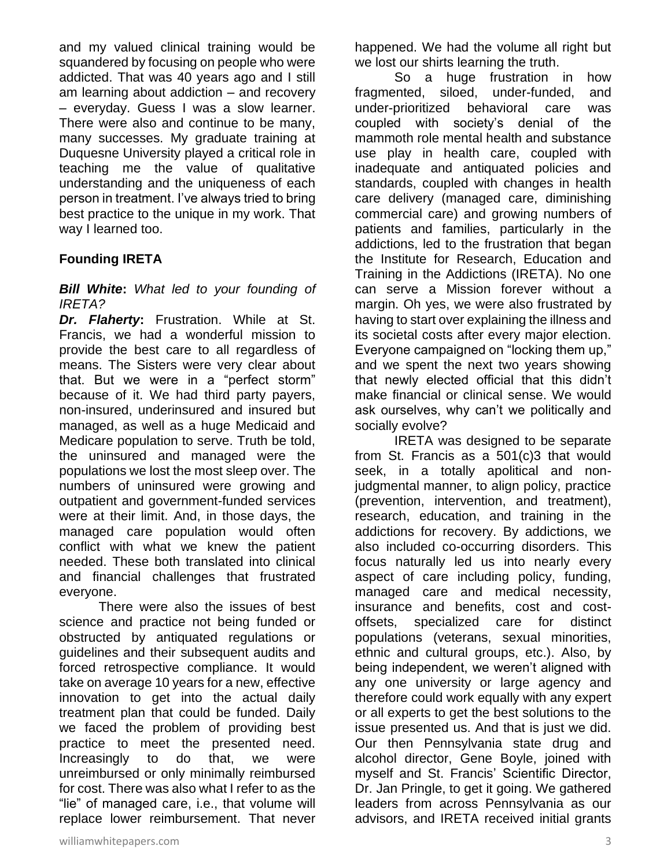and my valued clinical training would be squandered by focusing on people who were addicted. That was 40 years ago and I still am learning about addiction – and recovery – everyday. Guess I was a slow learner. There were also and continue to be many, many successes. My graduate training at Duquesne University played a critical role in teaching me the value of qualitative understanding and the uniqueness of each person in treatment. I've always tried to bring best practice to the unique in my work. That way I learned too.

# **Founding IRETA**

#### *Bill White***:** *What led to your founding of IRETA?*

*Dr. Flaherty***:** Frustration. While at St. Francis, we had a wonderful mission to provide the best care to all regardless of means. The Sisters were very clear about that. But we were in a "perfect storm" because of it. We had third party payers, non-insured, underinsured and insured but managed, as well as a huge Medicaid and Medicare population to serve. Truth be told, the uninsured and managed were the populations we lost the most sleep over. The numbers of uninsured were growing and outpatient and government-funded services were at their limit. And, in those days, the managed care population would often conflict with what we knew the patient needed. These both translated into clinical and financial challenges that frustrated everyone.

There were also the issues of best science and practice not being funded or obstructed by antiquated regulations or guidelines and their subsequent audits and forced retrospective compliance. It would take on average 10 years for a new, effective innovation to get into the actual daily treatment plan that could be funded. Daily we faced the problem of providing best practice to meet the presented need. Increasingly to do that, we were unreimbursed or only minimally reimbursed for cost. There was also what I refer to as the "lie" of managed care, i.e., that volume will replace lower reimbursement. That never

happened. We had the volume all right but we lost our shirts learning the truth.

So a huge frustration in how fragmented, siloed, under-funded, and under-prioritized behavioral care was coupled with society's denial of the mammoth role mental health and substance use play in health care, coupled with inadequate and antiquated policies and standards, coupled with changes in health care delivery (managed care, diminishing commercial care) and growing numbers of patients and families, particularly in the addictions, led to the frustration that began the Institute for Research, Education and Training in the Addictions (IRETA). No one can serve a Mission forever without a margin. Oh yes, we were also frustrated by having to start over explaining the illness and its societal costs after every major election. Everyone campaigned on "locking them up," and we spent the next two years showing that newly elected official that this didn't make financial or clinical sense. We would ask ourselves, why can't we politically and socially evolve?

IRETA was designed to be separate from St. Francis as a 501(c)3 that would seek, in a totally apolitical and nonjudgmental manner, to align policy, practice (prevention, intervention, and treatment), research, education, and training in the addictions for recovery. By addictions, we also included co-occurring disorders. This focus naturally led us into nearly every aspect of care including policy, funding, managed care and medical necessity, insurance and benefits, cost and costoffsets, specialized care for distinct populations (veterans, sexual minorities, ethnic and cultural groups, etc.). Also, by being independent, we weren't aligned with any one university or large agency and therefore could work equally with any expert or all experts to get the best solutions to the issue presented us. And that is just we did. Our then Pennsylvania state drug and alcohol director, Gene Boyle, joined with myself and St. Francis' Scientific Director, Dr. Jan Pringle, to get it going. We gathered leaders from across Pennsylvania as our advisors, and IRETA received initial grants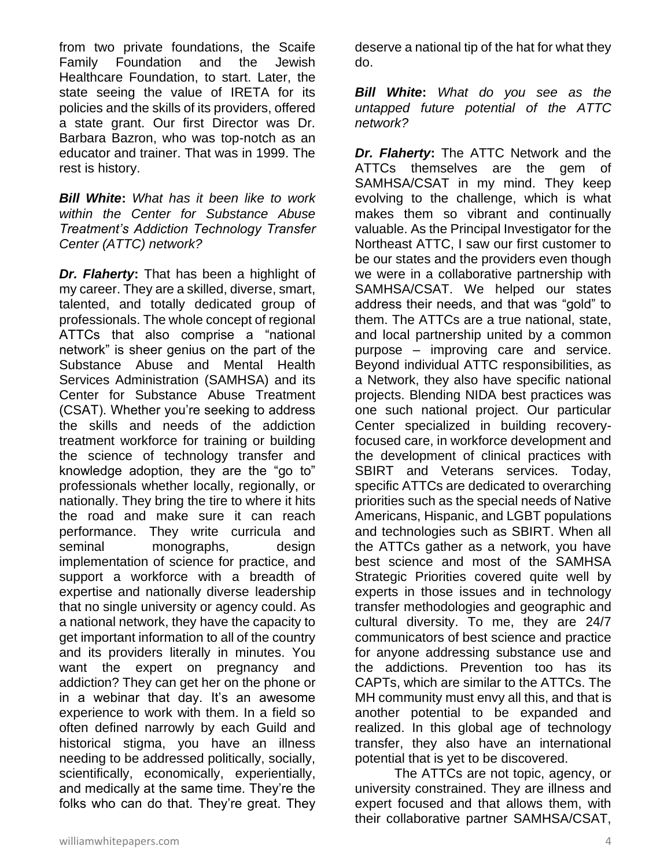from two private foundations, the Scaife Family Foundation and the Jewish Healthcare Foundation, to start. Later, the state seeing the value of IRETA for its policies and the skills of its providers, offered a state grant. Our first Director was Dr. Barbara Bazron, who was top-notch as an educator and trainer. That was in 1999. The rest is history.

*Bill White***:** *What has it been like to work within the Center for Substance Abuse Treatment's Addiction Technology Transfer Center (ATTC) network?*

*Dr. Flaherty***:** That has been a highlight of my career. They are a skilled, diverse, smart, talented, and totally dedicated group of professionals. The whole concept of regional ATTCs that also comprise a "national network" is sheer genius on the part of the Substance Abuse and Mental Health Services Administration (SAMHSA) and its Center for Substance Abuse Treatment (CSAT). Whether you're seeking to address the skills and needs of the addiction treatment workforce for training or building the science of technology transfer and knowledge adoption, they are the "go to" professionals whether locally, regionally, or nationally. They bring the tire to where it hits the road and make sure it can reach performance. They write curricula and seminal monographs, design implementation of science for practice, and support a workforce with a breadth of expertise and nationally diverse leadership that no single university or agency could. As a national network, they have the capacity to get important information to all of the country and its providers literally in minutes. You want the expert on pregnancy and addiction? They can get her on the phone or in a webinar that day. It's an awesome experience to work with them. In a field so often defined narrowly by each Guild and historical stigma, you have an illness needing to be addressed politically, socially, scientifically, economically, experientially, and medically at the same time. They're the folks who can do that. They're great. They deserve a national tip of the hat for what they do.

*Bill White***:** *What do you see as the untapped future potential of the ATTC network?*

*Dr. Flaherty***:** The ATTC Network and the ATTCs themselves are the gem of SAMHSA/CSAT in my mind. They keep evolving to the challenge, which is what makes them so vibrant and continually valuable. As the Principal Investigator for the Northeast ATTC, I saw our first customer to be our states and the providers even though we were in a collaborative partnership with SAMHSA/CSAT. We helped our states address their needs, and that was "gold" to them. The ATTCs are a true national, state, and local partnership united by a common purpose – improving care and service. Beyond individual ATTC responsibilities, as a Network, they also have specific national projects. Blending NIDA best practices was one such national project. Our particular Center specialized in building recoveryfocused care, in workforce development and the development of clinical practices with SBIRT and Veterans services. Today, specific ATTCs are dedicated to overarching priorities such as the special needs of Native Americans, Hispanic, and LGBT populations and technologies such as SBIRT. When all the ATTCs gather as a network, you have best science and most of the SAMHSA Strategic Priorities covered quite well by experts in those issues and in technology transfer methodologies and geographic and cultural diversity. To me, they are 24/7 communicators of best science and practice for anyone addressing substance use and the addictions. Prevention too has its CAPTs, which are similar to the ATTCs. The MH community must envy all this, and that is another potential to be expanded and realized. In this global age of technology transfer, they also have an international potential that is yet to be discovered.

The ATTCs are not topic, agency, or university constrained. They are illness and expert focused and that allows them, with their collaborative partner SAMHSA/CSAT,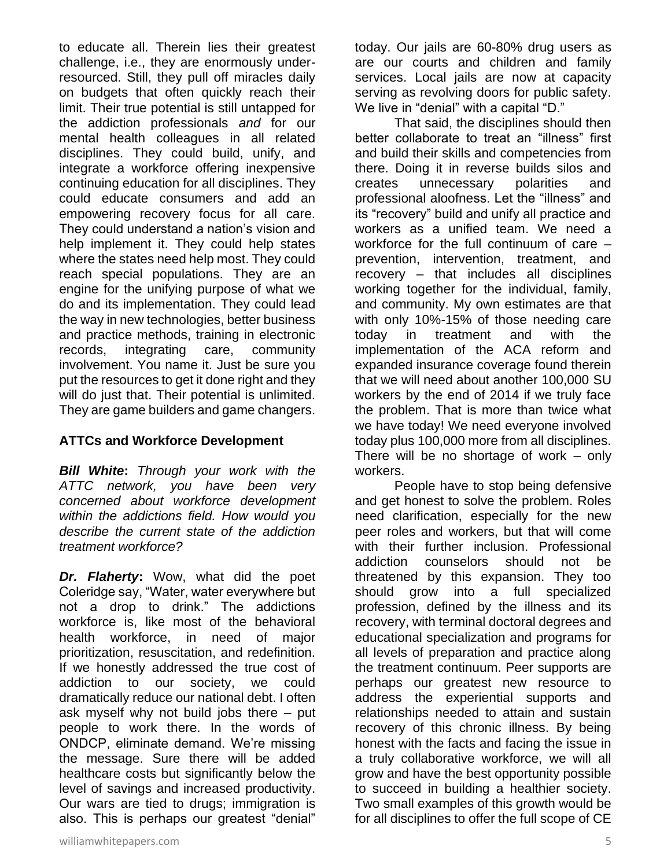to educate all. Therein lies their greatest challenge, i.e., they are enormously underresourced. Still, they pull off miracles daily on budgets that often quickly reach their limit. Their true potential is still untapped for the addiction professionals *and* for our mental health colleagues in all related disciplines. They could build, unify, and integrate a workforce offering inexpensive continuing education for all disciplines. They could educate consumers and add an empowering recovery focus for all care. They could understand a nation's vision and help implement it. They could help states where the states need help most. They could reach special populations. They are an engine for the unifying purpose of what we do and its implementation. They could lead the way in new technologies, better business and practice methods, training in electronic records, integrating care, community involvement. You name it. Just be sure you put the resources to get it done right and they will do just that. Their potential is unlimited. They are game builders and game changers.

#### **ATTCs and Workforce Development**

*Bill White***:** *Through your work with the ATTC network, you have been very concerned about workforce development within the addictions field. How would you describe the current state of the addiction treatment workforce?*

*Dr. Flaherty***:** Wow, what did the poet Coleridge say, "Water, water everywhere but not a drop to drink." The addictions workforce is, like most of the behavioral health workforce, in need of major prioritization, resuscitation, and redefinition. If we honestly addressed the true cost of addiction to our society, we could dramatically reduce our national debt. I often ask myself why not build jobs there – put people to work there. In the words of ONDCP, eliminate demand. We're missing the message. Sure there will be added healthcare costs but significantly below the level of savings and increased productivity. Our wars are tied to drugs; immigration is also. This is perhaps our greatest "denial"

today. Our jails are 60-80% drug users as are our courts and children and family services. Local jails are now at capacity serving as revolving doors for public safety. We live in "denial" with a capital "D."

That said, the disciplines should then better collaborate to treat an "illness" first and build their skills and competencies from there. Doing it in reverse builds silos and creates unnecessary polarities and professional aloofness. Let the "illness" and its "recovery" build and unify all practice and workers as a unified team. We need a workforce for the full continuum of care – prevention, intervention, treatment, and recovery – that includes all disciplines working together for the individual, family, and community. My own estimates are that with only 10%-15% of those needing care today in treatment and with the implementation of the ACA reform and expanded insurance coverage found therein that we will need about another 100,000 SU workers by the end of 2014 if we truly face the problem. That is more than twice what we have today! We need everyone involved today plus 100,000 more from all disciplines. There will be no shortage of work – only workers.

People have to stop being defensive and get honest to solve the problem. Roles need clarification, especially for the new peer roles and workers, but that will come with their further inclusion. Professional addiction counselors should not be threatened by this expansion. They too should grow into a full specialized profession, defined by the illness and its recovery, with terminal doctoral degrees and educational specialization and programs for all levels of preparation and practice along the treatment continuum. Peer supports are perhaps our greatest new resource to address the experiential supports and relationships needed to attain and sustain recovery of this chronic illness. By being honest with the facts and facing the issue in a truly collaborative workforce, we will all grow and have the best opportunity possible to succeed in building a healthier society. Two small examples of this growth would be for all disciplines to offer the full scope of CE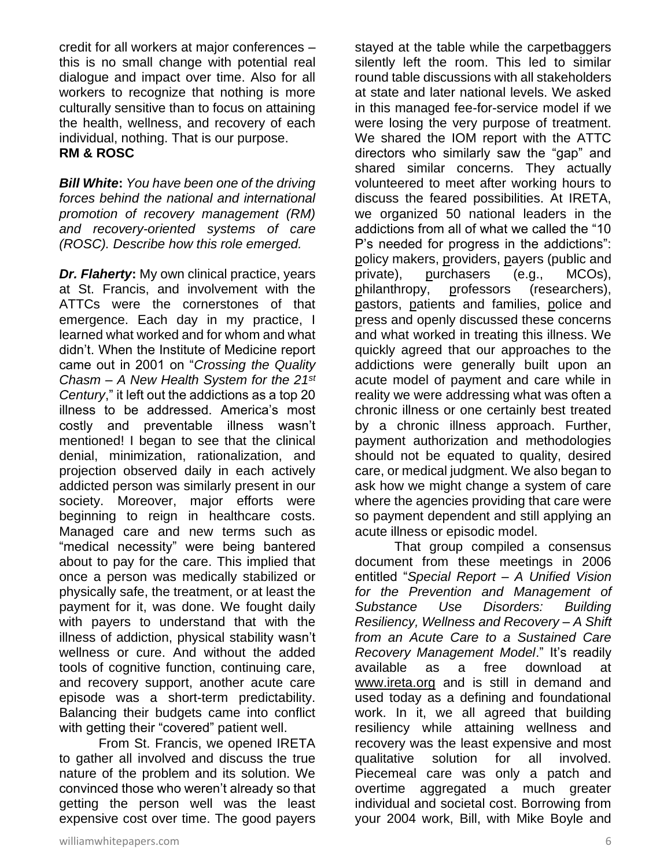credit for all workers at major conferences – this is no small change with potential real dialogue and impact over time. Also for all workers to recognize that nothing is more culturally sensitive than to focus on attaining the health, wellness, and recovery of each individual, nothing. That is our purpose. **RM & ROSC** 

*Bill White***:** *You have been one of the driving forces behind the national and international promotion of recovery management (RM) and recovery-oriented systems of care (ROSC). Describe how this role emerged.*

*Dr. Flaherty***:** My own clinical practice, years at St. Francis, and involvement with the ATTCs were the cornerstones of that emergence. Each day in my practice, I learned what worked and for whom and what didn't. When the Institute of Medicine report came out in 2001 on "*Crossing the Quality Chasm* – *A New Health System for the 21st Century*," it left out the addictions as a top 20 illness to be addressed. America's most costly and preventable illness wasn't mentioned! I began to see that the clinical denial, minimization, rationalization, and projection observed daily in each actively addicted person was similarly present in our society. Moreover, major efforts were beginning to reign in healthcare costs. Managed care and new terms such as "medical necessity" were being bantered about to pay for the care. This implied that once a person was medically stabilized or physically safe, the treatment, or at least the payment for it, was done. We fought daily with payers to understand that with the illness of addiction, physical stability wasn't wellness or cure. And without the added tools of cognitive function, continuing care, and recovery support, another acute care episode was a short-term predictability. Balancing their budgets came into conflict with getting their "covered" patient well.

From St. Francis, we opened IRETA to gather all involved and discuss the true nature of the problem and its solution. We convinced those who weren't already so that getting the person well was the least expensive cost over time. The good payers

stayed at the table while the carpetbaggers silently left the room. This led to similar round table discussions with all stakeholders at state and later national levels. We asked in this managed fee-for-service model if we were losing the very purpose of treatment. We shared the IOM report with the ATTC directors who similarly saw the "gap" and shared similar concerns. They actually volunteered to meet after working hours to discuss the feared possibilities. At IRETA, we organized 50 national leaders in the addictions from all of what we called the "10 P's needed for progress in the addictions": policy makers, providers, payers (public and private), purchasers (e.g., MCOs), philanthropy, professors (researchers), pastors, patients and families, police and press and openly discussed these concerns and what worked in treating this illness. We quickly agreed that our approaches to the addictions were generally built upon an acute model of payment and care while in reality we were addressing what was often a chronic illness or one certainly best treated by a chronic illness approach. Further, payment authorization and methodologies should not be equated to quality, desired care, or medical judgment. We also began to ask how we might change a system of care where the agencies providing that care were so payment dependent and still applying an acute illness or episodic model.

That group compiled a consensus document from these meetings in 2006 entitled "*Special Report – A Unified Vision for the Prevention and Management of Substance Use Disorders: Building Resiliency, Wellness and Recovery – A Shift from an Acute Care to a Sustained Care Recovery Management Model*." It's readily available as a free download at [www.ireta.org](http://www.ireta.org/) and is still in demand and used today as a defining and foundational work. In it, we all agreed that building resiliency while attaining wellness and recovery was the least expensive and most qualitative solution for all involved. Piecemeal care was only a patch and overtime aggregated a much greater individual and societal cost. Borrowing from your 2004 work, Bill, with Mike Boyle and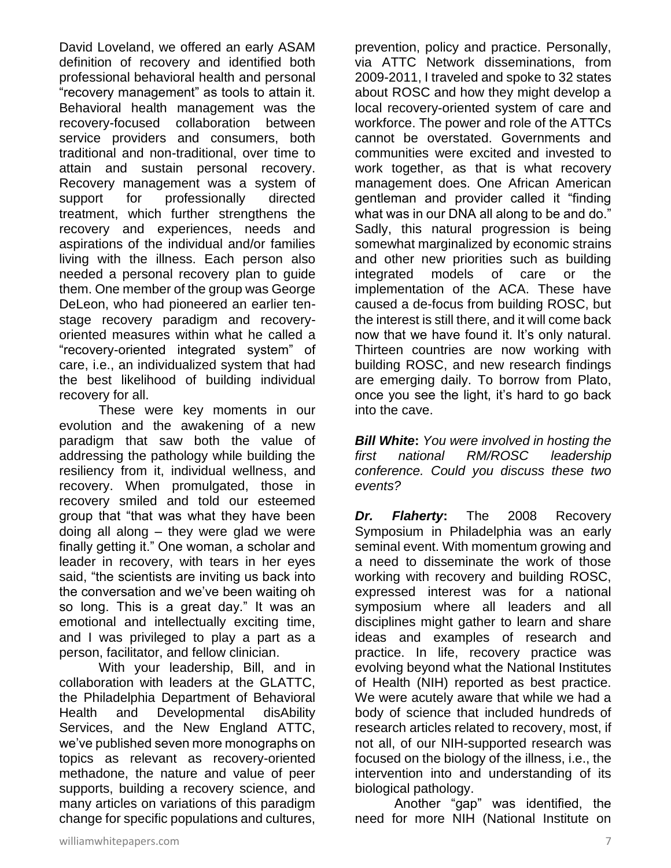David Loveland, we offered an early ASAM definition of recovery and identified both professional behavioral health and personal "recovery management" as tools to attain it. Behavioral health management was the recovery-focused collaboration between service providers and consumers, both traditional and non-traditional, over time to attain and sustain personal recovery. Recovery management was a system of support for professionally directed treatment, which further strengthens the recovery and experiences, needs and aspirations of the individual and/or families living with the illness. Each person also needed a personal recovery plan to guide them. One member of the group was George DeLeon, who had pioneered an earlier tenstage recovery paradigm and recoveryoriented measures within what he called a "recovery-oriented integrated system" of care, i.e., an individualized system that had the best likelihood of building individual recovery for all.

These were key moments in our evolution and the awakening of a new paradigm that saw both the value of addressing the pathology while building the resiliency from it, individual wellness, and recovery. When promulgated, those in recovery smiled and told our esteemed group that "that was what they have been doing all along – they were glad we were finally getting it." One woman, a scholar and leader in recovery, with tears in her eyes said, "the scientists are inviting us back into the conversation and we've been waiting oh so long. This is a great day." It was an emotional and intellectually exciting time, and I was privileged to play a part as a person, facilitator, and fellow clinician.

With your leadership, Bill, and in collaboration with leaders at the GLATTC, the Philadelphia Department of Behavioral Health and Developmental disAbility Services, and the New England ATTC, we've published seven more monographs on topics as relevant as recovery-oriented methadone, the nature and value of peer supports, building a recovery science, and many articles on variations of this paradigm change for specific populations and cultures,

prevention, policy and practice. Personally, via ATTC Network disseminations, from 2009-2011, I traveled and spoke to 32 states about ROSC and how they might develop a local recovery-oriented system of care and workforce. The power and role of the ATTCs cannot be overstated. Governments and communities were excited and invested to work together, as that is what recovery management does. One African American gentleman and provider called it "finding what was in our DNA all along to be and do." Sadly, this natural progression is being somewhat marginalized by economic strains and other new priorities such as building integrated models of care or the implementation of the ACA. These have caused a de-focus from building ROSC, but the interest is still there, and it will come back now that we have found it. It's only natural. Thirteen countries are now working with building ROSC, and new research findings are emerging daily. To borrow from Plato, once you see the light, it's hard to go back into the cave.

*Bill White***:** *You were involved in hosting the first national RM/ROSC leadership conference. Could you discuss these two events?*

*Dr. Flaherty***:** The 2008 Recovery Symposium in Philadelphia was an early seminal event. With momentum growing and a need to disseminate the work of those working with recovery and building ROSC, expressed interest was for a national symposium where all leaders and all disciplines might gather to learn and share ideas and examples of research and practice. In life, recovery practice was evolving beyond what the National Institutes of Health (NIH) reported as best practice. We were acutely aware that while we had a body of science that included hundreds of research articles related to recovery, most, if not all, of our NIH-supported research was focused on the biology of the illness, i.e., the intervention into and understanding of its biological pathology.

Another "gap" was identified, the need for more NIH (National Institute on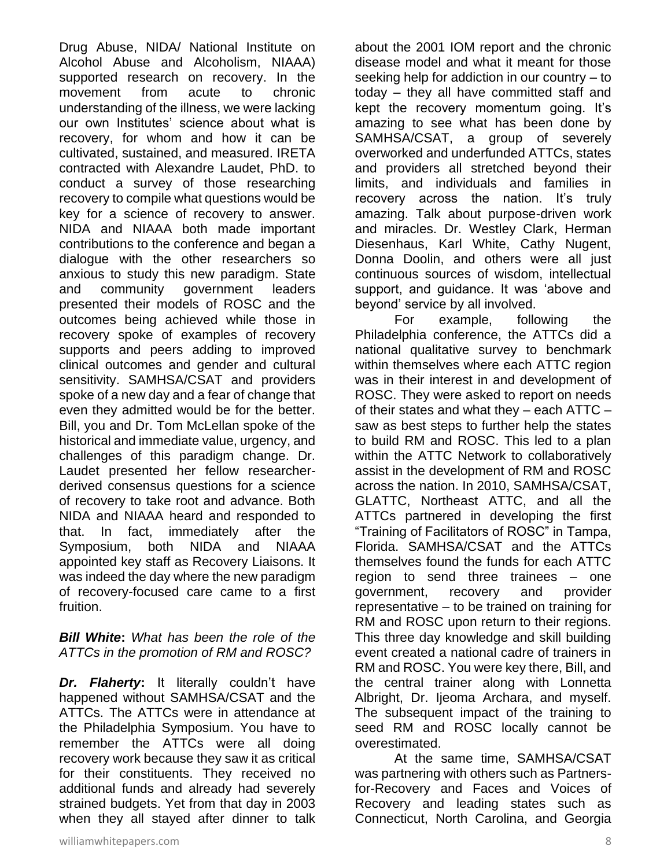Drug Abuse, NIDA/ National Institute on Alcohol Abuse and Alcoholism, NIAAA) supported research on recovery. In the movement from acute to chronic understanding of the illness, we were lacking our own Institutes' science about what is recovery, for whom and how it can be cultivated, sustained, and measured. IRETA contracted with Alexandre Laudet, PhD. to conduct a survey of those researching recovery to compile what questions would be key for a science of recovery to answer. NIDA and NIAAA both made important contributions to the conference and began a dialogue with the other researchers so anxious to study this new paradigm. State and community government leaders presented their models of ROSC and the outcomes being achieved while those in recovery spoke of examples of recovery supports and peers adding to improved clinical outcomes and gender and cultural sensitivity. SAMHSA/CSAT and providers spoke of a new day and a fear of change that even they admitted would be for the better. Bill, you and Dr. Tom McLellan spoke of the historical and immediate value, urgency, and challenges of this paradigm change. Dr. Laudet presented her fellow researcherderived consensus questions for a science of recovery to take root and advance. Both NIDA and NIAAA heard and responded to that. In fact, immediately after the Symposium, both NIDA and NIAAA appointed key staff as Recovery Liaisons. It was indeed the day where the new paradigm of recovery-focused care came to a first fruition.

#### *Bill White***:** *What has been the role of the ATTCs in the promotion of RM and ROSC?*

*Dr. Flaherty***:** It literally couldn't have happened without SAMHSA/CSAT and the ATTCs. The ATTCs were in attendance at the Philadelphia Symposium. You have to remember the ATTCs were all doing recovery work because they saw it as critical for their constituents. They received no additional funds and already had severely strained budgets. Yet from that day in 2003 when they all stayed after dinner to talk about the 2001 IOM report and the chronic disease model and what it meant for those seeking help for addiction in our country – to today – they all have committed staff and kept the recovery momentum going. It's amazing to see what has been done by SAMHSA/CSAT, a group of severely overworked and underfunded ATTCs, states and providers all stretched beyond their limits, and individuals and families in recovery across the nation. It's truly amazing. Talk about purpose-driven work and miracles. Dr. Westley Clark, Herman Diesenhaus, Karl White, Cathy Nugent, Donna Doolin, and others were all just continuous sources of wisdom, intellectual support, and guidance. It was 'above and beyond' service by all involved.

For example, following the Philadelphia conference, the ATTCs did a national qualitative survey to benchmark within themselves where each ATTC region was in their interest in and development of ROSC. They were asked to report on needs of their states and what they  $-$  each ATTC  $$ saw as best steps to further help the states to build RM and ROSC. This led to a plan within the ATTC Network to collaboratively assist in the development of RM and ROSC across the nation. In 2010, SAMHSA/CSAT, GLATTC, Northeast ATTC, and all the ATTCs partnered in developing the first "Training of Facilitators of ROSC" in Tampa, Florida. SAMHSA/CSAT and the ATTCs themselves found the funds for each ATTC region to send three trainees – one government, recovery and provider representative – to be trained on training for RM and ROSC upon return to their regions. This three day knowledge and skill building event created a national cadre of trainers in RM and ROSC. You were key there, Bill, and the central trainer along with Lonnetta Albright, Dr. Ijeoma Archara, and myself. The subsequent impact of the training to seed RM and ROSC locally cannot be overestimated.

At the same time, SAMHSA/CSAT was partnering with others such as Partnersfor-Recovery and Faces and Voices of Recovery and leading states such as Connecticut, North Carolina, and Georgia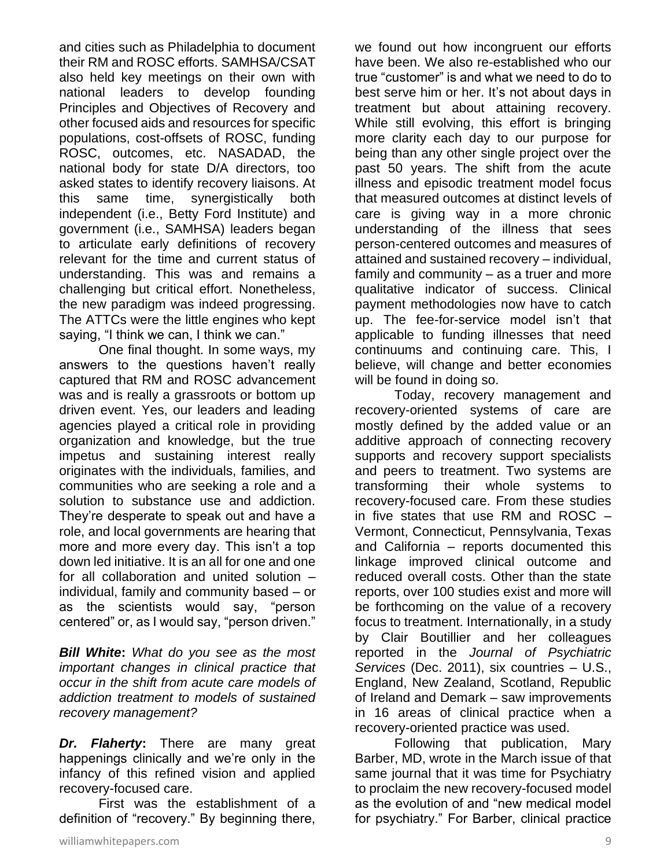and cities such as Philadelphia to document their RM and ROSC efforts. SAMHSA/CSAT also held key meetings on their own with national leaders to develop founding Principles and Objectives of Recovery and other focused aids and resources for specific populations, cost-offsets of ROSC, funding ROSC, outcomes, etc. NASADAD, the national body for state D/A directors, too asked states to identify recovery liaisons. At this same time, synergistically both independent (i.e., Betty Ford Institute) and government (i.e., SAMHSA) leaders began to articulate early definitions of recovery relevant for the time and current status of understanding. This was and remains a challenging but critical effort. Nonetheless, the new paradigm was indeed progressing. The ATTCs were the little engines who kept saying, "I think we can, I think we can."

One final thought. In some ways, my answers to the questions haven't really captured that RM and ROSC advancement was and is really a grassroots or bottom up driven event. Yes, our leaders and leading agencies played a critical role in providing organization and knowledge, but the true impetus and sustaining interest really originates with the individuals, families, and communities who are seeking a role and a solution to substance use and addiction. They're desperate to speak out and have a role, and local governments are hearing that more and more every day. This isn't a top down led initiative. It is an all for one and one for all collaboration and united solution – individual, family and community based – or as the scientists would say, "person centered" or, as I would say, "person driven."

*Bill White***:** *What do you see as the most important changes in clinical practice that occur in the shift from acute care models of addiction treatment to models of sustained recovery management?*

*Dr. Flaherty***:** There are many great happenings clinically and we're only in the infancy of this refined vision and applied recovery-focused care.

First was the establishment of a definition of "recovery." By beginning there,

we found out how incongruent our efforts have been. We also re-established who our true "customer" is and what we need to do to best serve him or her. It's not about days in treatment but about attaining recovery. While still evolving, this effort is bringing more clarity each day to our purpose for being than any other single project over the past 50 years. The shift from the acute illness and episodic treatment model focus that measured outcomes at distinct levels of care is giving way in a more chronic understanding of the illness that sees person-centered outcomes and measures of attained and sustained recovery – individual, family and community – as a truer and more qualitative indicator of success. Clinical payment methodologies now have to catch up. The fee-for-service model isn't that applicable to funding illnesses that need continuums and continuing care. This, I believe, will change and better economies will be found in doing so.

Today, recovery management and recovery-oriented systems of care are mostly defined by the added value or an additive approach of connecting recovery supports and recovery support specialists and peers to treatment. Two systems are transforming their whole systems to recovery-focused care. From these studies in five states that use RM and ROSC – Vermont, Connecticut, Pennsylvania, Texas and California – reports documented this linkage improved clinical outcome and reduced overall costs. Other than the state reports, over 100 studies exist and more will be forthcoming on the value of a recovery focus to treatment. Internationally, in a study by Clair Boutillier and her colleagues reported in the *Journal of Psychiatric Services* (Dec. 2011), six countries – U.S., England, New Zealand, Scotland, Republic of Ireland and Demark – saw improvements in 16 areas of clinical practice when a recovery-oriented practice was used.

Following that publication, Mary Barber, MD, wrote in the March issue of that same journal that it was time for Psychiatry to proclaim the new recovery-focused model as the evolution of and "new medical model for psychiatry." For Barber, clinical practice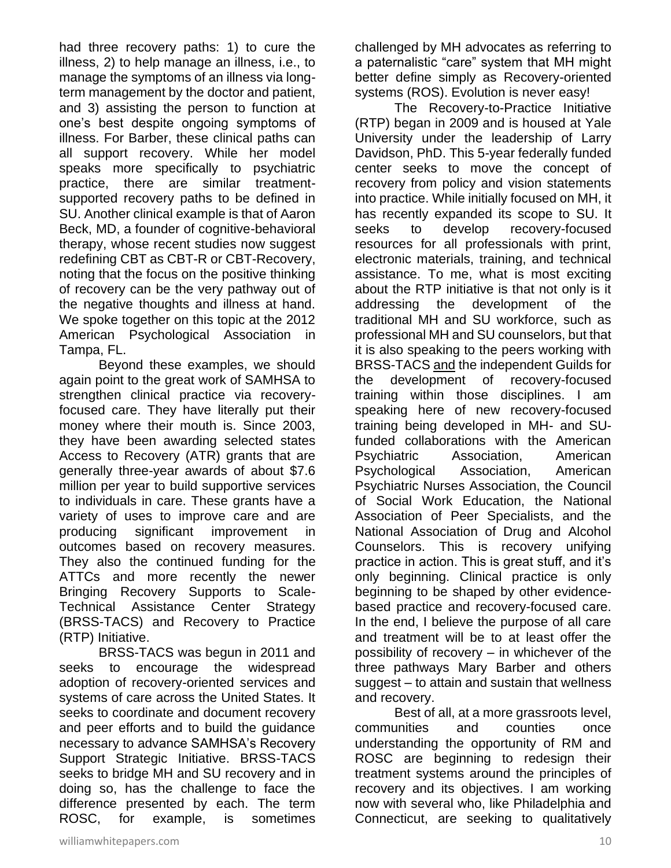had three recovery paths: 1) to cure the illness, 2) to help manage an illness, i.e., to manage the symptoms of an illness via longterm management by the doctor and patient, and 3) assisting the person to function at one's best despite ongoing symptoms of illness. For Barber, these clinical paths can all support recovery. While her model speaks more specifically to psychiatric practice, there are similar treatmentsupported recovery paths to be defined in SU. Another clinical example is that of Aaron Beck, MD, a founder of cognitive-behavioral therapy, whose recent studies now suggest redefining CBT as CBT-R or CBT-Recovery, noting that the focus on the positive thinking of recovery can be the very pathway out of the negative thoughts and illness at hand. We spoke together on this topic at the 2012 American Psychological Association in Tampa, FL.

Beyond these examples, we should again point to the great work of SAMHSA to strengthen clinical practice via recoveryfocused care. They have literally put their money where their mouth is. Since 2003, they have been awarding selected states Access to Recovery (ATR) grants that are generally three-year awards of about \$7.6 million per year to build supportive services to individuals in care. These grants have a variety of uses to improve care and are producing significant improvement in outcomes based on recovery measures. They also the continued funding for the ATTCs and more recently the newer Bringing Recovery Supports to Scale-Technical Assistance Center Strategy (BRSS-TACS) and Recovery to Practice (RTP) Initiative.

BRSS-TACS was begun in 2011 and seeks to encourage the widespread adoption of recovery-oriented services and systems of care across the United States. It seeks to coordinate and document recovery and peer efforts and to build the guidance necessary to advance SAMHSA's Recovery Support Strategic Initiative. BRSS-TACS seeks to bridge MH and SU recovery and in doing so, has the challenge to face the difference presented by each. The term ROSC, for example, is sometimes

challenged by MH advocates as referring to a paternalistic "care" system that MH might better define simply as Recovery-oriented systems (ROS). Evolution is never easy!

The Recovery-to-Practice Initiative (RTP) began in 2009 and is housed at Yale University under the leadership of Larry Davidson, PhD. This 5-year federally funded center seeks to move the concept of recovery from policy and vision statements into practice. While initially focused on MH, it has recently expanded its scope to SU. It seeks to develop recovery-focused resources for all professionals with print, electronic materials, training, and technical assistance. To me, what is most exciting about the RTP initiative is that not only is it addressing the development of the traditional MH and SU workforce, such as professional MH and SU counselors, but that it is also speaking to the peers working with BRSS-TACS and the independent Guilds for the development of recovery-focused training within those disciplines. I am speaking here of new recovery-focused training being developed in MH- and SUfunded collaborations with the American Psychiatric Association, American Psychological Association, American Psychiatric Nurses Association, the Council of Social Work Education, the National Association of Peer Specialists, and the National Association of Drug and Alcohol Counselors. This is recovery unifying practice in action. This is great stuff, and it's only beginning. Clinical practice is only beginning to be shaped by other evidencebased practice and recovery-focused care. In the end, I believe the purpose of all care and treatment will be to at least offer the possibility of recovery – in whichever of the three pathways Mary Barber and others suggest – to attain and sustain that wellness and recovery.

Best of all, at a more grassroots level, communities and counties once understanding the opportunity of RM and ROSC are beginning to redesign their treatment systems around the principles of recovery and its objectives. I am working now with several who, like Philadelphia and Connecticut, are seeking to qualitatively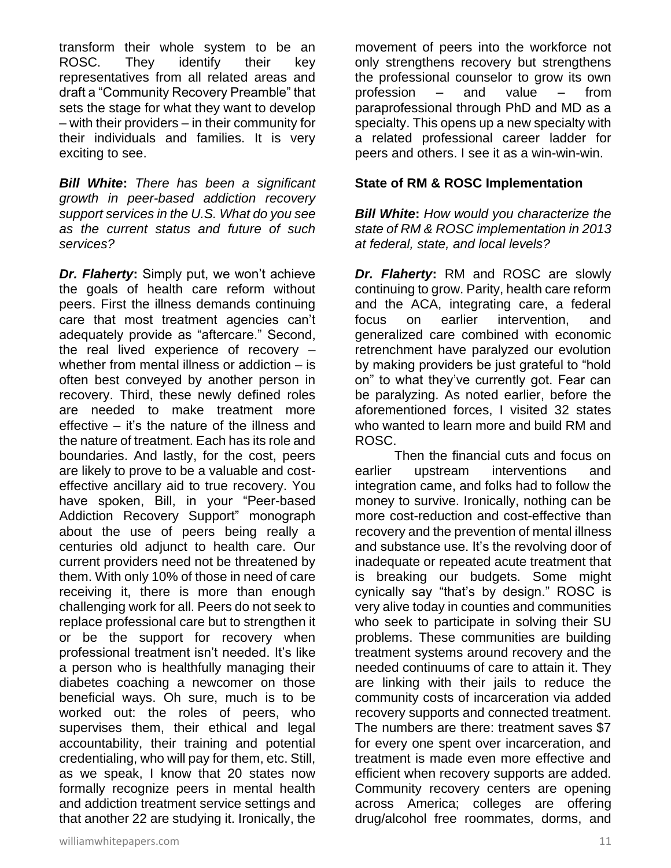transform their whole system to be an ROSC. They identify their key representatives from all related areas and draft a "Community Recovery Preamble" that sets the stage for what they want to develop – with their providers – in their community for their individuals and families. It is very exciting to see.

*Bill White***:** *There has been a significant growth in peer-based addiction recovery support services in the U.S. What do you see as the current status and future of such services?*

*Dr. Flaherty***:** Simply put, we won't achieve the goals of health care reform without peers. First the illness demands continuing care that most treatment agencies can't adequately provide as "aftercare." Second, the real lived experience of recovery – whether from mental illness or addiction – is often best conveyed by another person in recovery. Third, these newly defined roles are needed to make treatment more effective – it's the nature of the illness and the nature of treatment. Each has its role and boundaries. And lastly, for the cost, peers are likely to prove to be a valuable and costeffective ancillary aid to true recovery. You have spoken, Bill, in your "Peer-based Addiction Recovery Support" monograph about the use of peers being really a centuries old adjunct to health care. Our current providers need not be threatened by them. With only 10% of those in need of care receiving it, there is more than enough challenging work for all. Peers do not seek to replace professional care but to strengthen it or be the support for recovery when professional treatment isn't needed. It's like a person who is healthfully managing their diabetes coaching a newcomer on those beneficial ways. Oh sure, much is to be worked out: the roles of peers, who supervises them, their ethical and legal accountability, their training and potential credentialing, who will pay for them, etc. Still, as we speak, I know that 20 states now formally recognize peers in mental health and addiction treatment service settings and that another 22 are studying it. Ironically, the

movement of peers into the workforce not only strengthens recovery but strengthens the professional counselor to grow its own profession – and value – from paraprofessional through PhD and MD as a specialty. This opens up a new specialty with a related professional career ladder for peers and others. I see it as a win-win-win.

#### **State of RM & ROSC Implementation**

*Bill White***:** *How would you characterize the state of RM & ROSC implementation in 2013 at federal, state, and local levels?*

*Dr. Flaherty***:** RM and ROSC are slowly continuing to grow. Parity, health care reform and the ACA, integrating care, a federal focus on earlier intervention, and generalized care combined with economic retrenchment have paralyzed our evolution by making providers be just grateful to "hold on" to what they've currently got. Fear can be paralyzing. As noted earlier, before the aforementioned forces, I visited 32 states who wanted to learn more and build RM and ROSC.

Then the financial cuts and focus on earlier upstream interventions and integration came, and folks had to follow the money to survive. Ironically, nothing can be more cost-reduction and cost-effective than recovery and the prevention of mental illness and substance use. It's the revolving door of inadequate or repeated acute treatment that is breaking our budgets. Some might cynically say "that's by design." ROSC is very alive today in counties and communities who seek to participate in solving their SU problems. These communities are building treatment systems around recovery and the needed continuums of care to attain it. They are linking with their jails to reduce the community costs of incarceration via added recovery supports and connected treatment. The numbers are there: treatment saves \$7 for every one spent over incarceration, and treatment is made even more effective and efficient when recovery supports are added. Community recovery centers are opening across America; colleges are offering drug/alcohol free roommates, dorms, and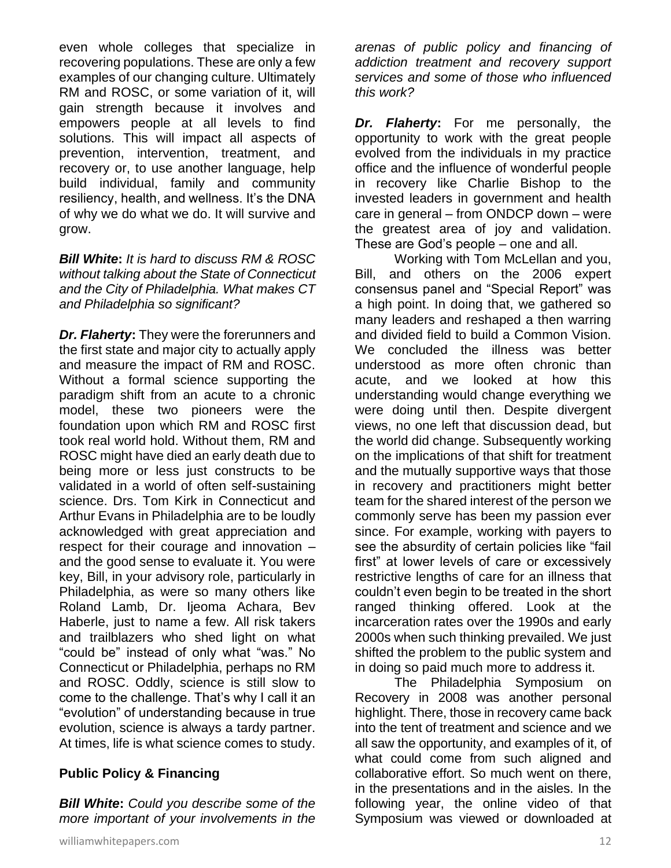even whole colleges that specialize in recovering populations. These are only a few examples of our changing culture. Ultimately RM and ROSC, or some variation of it, will gain strength because it involves and empowers people at all levels to find solutions. This will impact all aspects of prevention, intervention, treatment, and recovery or, to use another language, help build individual, family and community resiliency, health, and wellness. It's the DNA of why we do what we do. It will survive and grow.

*Bill White***:** *It is hard to discuss RM & ROSC without talking about the State of Connecticut and the City of Philadelphia. What makes CT and Philadelphia so significant?*

*Dr. Flaherty***:** They were the forerunners and the first state and major city to actually apply and measure the impact of RM and ROSC. Without a formal science supporting the paradigm shift from an acute to a chronic model, these two pioneers were the foundation upon which RM and ROSC first took real world hold. Without them, RM and ROSC might have died an early death due to being more or less just constructs to be validated in a world of often self-sustaining science. Drs. Tom Kirk in Connecticut and Arthur Evans in Philadelphia are to be loudly acknowledged with great appreciation and respect for their courage and innovation – and the good sense to evaluate it. You were key, Bill, in your advisory role, particularly in Philadelphia, as were so many others like Roland Lamb, Dr. Ijeoma Achara, Bev Haberle, just to name a few. All risk takers and trailblazers who shed light on what "could be" instead of only what "was." No Connecticut or Philadelphia, perhaps no RM and ROSC. Oddly, science is still slow to come to the challenge. That's why I call it an "evolution" of understanding because in true evolution, science is always a tardy partner. At times, life is what science comes to study.

# **Public Policy & Financing**

*Bill White***:** *Could you describe some of the more important of your involvements in the*  *arenas of public policy and financing of addiction treatment and recovery support services and some of those who influenced this work?*

*Dr. Flaherty***:** For me personally, the opportunity to work with the great people evolved from the individuals in my practice office and the influence of wonderful people in recovery like Charlie Bishop to the invested leaders in government and health care in general – from ONDCP down – were the greatest area of joy and validation. These are God's people – one and all.

Working with Tom McLellan and you, Bill, and others on the 2006 expert consensus panel and "Special Report" was a high point. In doing that, we gathered so many leaders and reshaped a then warring and divided field to build a Common Vision. We concluded the illness was better understood as more often chronic than acute, and we looked at how this understanding would change everything we were doing until then. Despite divergent views, no one left that discussion dead, but the world did change. Subsequently working on the implications of that shift for treatment and the mutually supportive ways that those in recovery and practitioners might better team for the shared interest of the person we commonly serve has been my passion ever since. For example, working with payers to see the absurdity of certain policies like "fail first" at lower levels of care or excessively restrictive lengths of care for an illness that couldn't even begin to be treated in the short ranged thinking offered. Look at the incarceration rates over the 1990s and early 2000s when such thinking prevailed. We just shifted the problem to the public system and in doing so paid much more to address it.

The Philadelphia Symposium on Recovery in 2008 was another personal highlight. There, those in recovery came back into the tent of treatment and science and we all saw the opportunity, and examples of it, of what could come from such aligned and collaborative effort. So much went on there, in the presentations and in the aisles. In the following year, the online video of that Symposium was viewed or downloaded at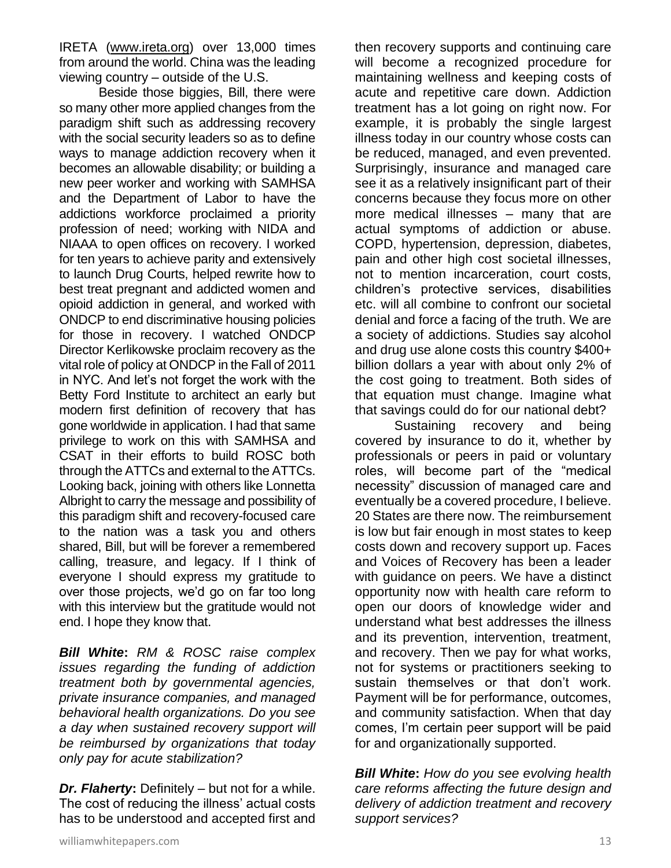IRETA [\(www.ireta.org\)](http://www.ireta.org/) over 13,000 times from around the world. China was the leading viewing country – outside of the U.S.

Beside those biggies, Bill, there were so many other more applied changes from the paradigm shift such as addressing recovery with the social security leaders so as to define ways to manage addiction recovery when it becomes an allowable disability; or building a new peer worker and working with SAMHSA and the Department of Labor to have the addictions workforce proclaimed a priority profession of need; working with NIDA and NIAAA to open offices on recovery. I worked for ten years to achieve parity and extensively to launch Drug Courts, helped rewrite how to best treat pregnant and addicted women and opioid addiction in general, and worked with ONDCP to end discriminative housing policies for those in recovery. I watched ONDCP Director Kerlikowske proclaim recovery as the vital role of policy at ONDCP in the Fall of 2011 in NYC. And let's not forget the work with the Betty Ford Institute to architect an early but modern first definition of recovery that has gone worldwide in application. I had that same privilege to work on this with SAMHSA and CSAT in their efforts to build ROSC both through the ATTCs and external to the ATTCs. Looking back, joining with others like Lonnetta Albright to carry the message and possibility of this paradigm shift and recovery-focused care to the nation was a task you and others shared, Bill, but will be forever a remembered calling, treasure, and legacy. If I think of everyone I should express my gratitude to over those projects, we'd go on far too long with this interview but the gratitude would not end. I hope they know that.

*Bill White***:** *RM & ROSC raise complex issues regarding the funding of addiction treatment both by governmental agencies, private insurance companies, and managed behavioral health organizations. Do you see a day when sustained recovery support will be reimbursed by organizations that today only pay for acute stabilization?* 

*Dr. Flaherty***:** Definitely – but not for a while. The cost of reducing the illness' actual costs has to be understood and accepted first and then recovery supports and continuing care will become a recognized procedure for maintaining wellness and keeping costs of acute and repetitive care down. Addiction treatment has a lot going on right now. For example, it is probably the single largest illness today in our country whose costs can be reduced, managed, and even prevented. Surprisingly, insurance and managed care see it as a relatively insignificant part of their concerns because they focus more on other more medical illnesses – many that are actual symptoms of addiction or abuse. COPD, hypertension, depression, diabetes, pain and other high cost societal illnesses, not to mention incarceration, court costs, children's protective services, disabilities etc. will all combine to confront our societal denial and force a facing of the truth. We are a society of addictions. Studies say alcohol and drug use alone costs this country \$400+ billion dollars a year with about only 2% of the cost going to treatment. Both sides of that equation must change. Imagine what that savings could do for our national debt?

Sustaining recovery and being covered by insurance to do it, whether by professionals or peers in paid or voluntary roles, will become part of the "medical necessity" discussion of managed care and eventually be a covered procedure, I believe. 20 States are there now. The reimbursement is low but fair enough in most states to keep costs down and recovery support up. Faces and Voices of Recovery has been a leader with guidance on peers. We have a distinct opportunity now with health care reform to open our doors of knowledge wider and understand what best addresses the illness and its prevention, intervention, treatment, and recovery. Then we pay for what works, not for systems or practitioners seeking to sustain themselves or that don't work. Payment will be for performance, outcomes, and community satisfaction. When that day comes, I'm certain peer support will be paid for and organizationally supported.

*Bill White***:** *How do you see evolving health care reforms affecting the future design and delivery of addiction treatment and recovery support services?*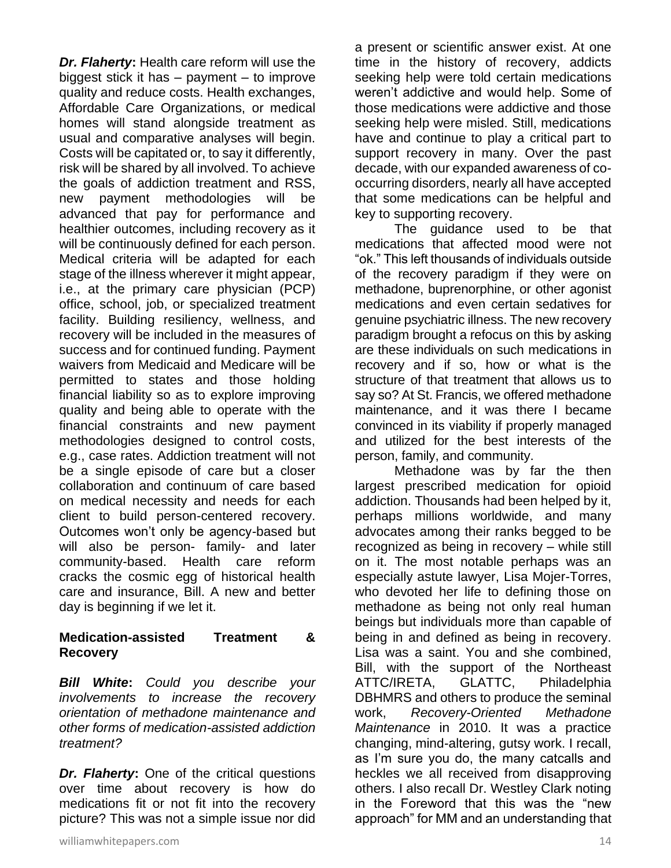*Dr. Flaherty***:** Health care reform will use the biggest stick it has – payment – to improve quality and reduce costs. Health exchanges, Affordable Care Organizations, or medical homes will stand alongside treatment as usual and comparative analyses will begin. Costs will be capitated or, to say it differently, risk will be shared by all involved. To achieve the goals of addiction treatment and RSS, new payment methodologies will be advanced that pay for performance and healthier outcomes, including recovery as it will be continuously defined for each person. Medical criteria will be adapted for each stage of the illness wherever it might appear, i.e., at the primary care physician (PCP) office, school, job, or specialized treatment facility. Building resiliency, wellness, and recovery will be included in the measures of success and for continued funding. Payment waivers from Medicaid and Medicare will be permitted to states and those holding financial liability so as to explore improving quality and being able to operate with the financial constraints and new payment methodologies designed to control costs, e.g., case rates. Addiction treatment will not be a single episode of care but a closer collaboration and continuum of care based on medical necessity and needs for each client to build person-centered recovery. Outcomes won't only be agency-based but will also be person- family- and later community-based. Health care reform cracks the cosmic egg of historical health care and insurance, Bill. A new and better day is beginning if we let it.

#### **Medication-assisted Treatment & Recovery**

*Bill White***:** *Could you describe your involvements to increase the recovery orientation of methadone maintenance and other forms of medication-assisted addiction treatment?*

*Dr. Flaherty***:** One of the critical questions over time about recovery is how do medications fit or not fit into the recovery picture? This was not a simple issue nor did a present or scientific answer exist. At one time in the history of recovery, addicts seeking help were told certain medications weren't addictive and would help. Some of those medications were addictive and those seeking help were misled. Still, medications have and continue to play a critical part to support recovery in many. Over the past decade, with our expanded awareness of cooccurring disorders, nearly all have accepted that some medications can be helpful and key to supporting recovery.

The guidance used to be that medications that affected mood were not "ok." This left thousands of individuals outside of the recovery paradigm if they were on methadone, buprenorphine, or other agonist medications and even certain sedatives for genuine psychiatric illness. The new recovery paradigm brought a refocus on this by asking are these individuals on such medications in recovery and if so, how or what is the structure of that treatment that allows us to say so? At St. Francis, we offered methadone maintenance, and it was there I became convinced in its viability if properly managed and utilized for the best interests of the person, family, and community.

Methadone was by far the then largest prescribed medication for opioid addiction. Thousands had been helped by it, perhaps millions worldwide, and many advocates among their ranks begged to be recognized as being in recovery – while still on it. The most notable perhaps was an especially astute lawyer, Lisa Mojer-Torres, who devoted her life to defining those on methadone as being not only real human beings but individuals more than capable of being in and defined as being in recovery. Lisa was a saint. You and she combined, Bill, with the support of the Northeast ATTC/IRETA, GLATTC, Philadelphia DBHMRS and others to produce the seminal work, *Recovery-Oriented Methadone Maintenance* in 2010. It was a practice changing, mind-altering, gutsy work. I recall, as I'm sure you do, the many catcalls and heckles we all received from disapproving others. I also recall Dr. Westley Clark noting in the Foreword that this was the "new approach" for MM and an understanding that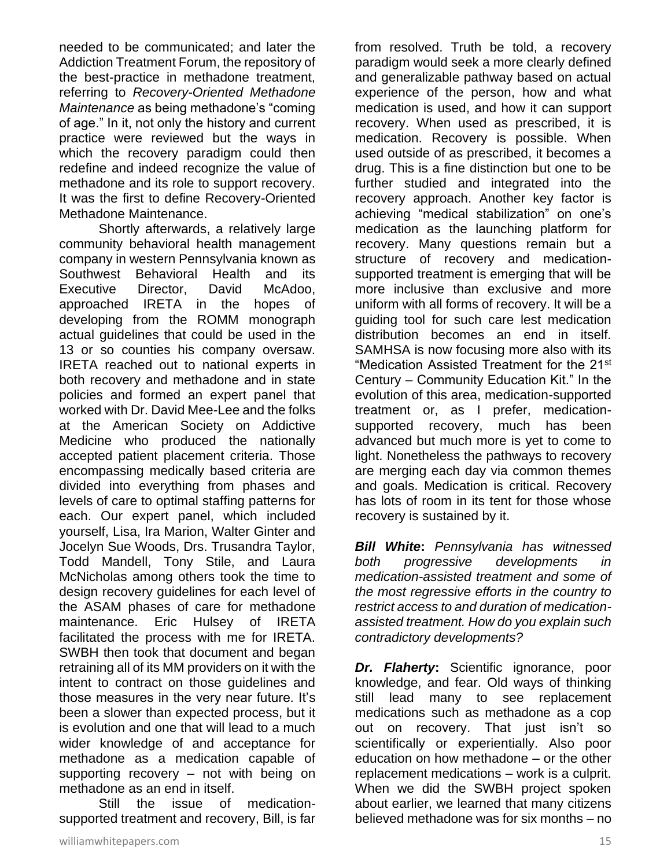needed to be communicated; and later the Addiction Treatment Forum, the repository of the best-practice in methadone treatment, referring to *Recovery-Oriented Methadone Maintenance* as being methadone's "coming of age." In it, not only the history and current practice were reviewed but the ways in which the recovery paradigm could then redefine and indeed recognize the value of methadone and its role to support recovery. It was the first to define Recovery-Oriented Methadone Maintenance.

Shortly afterwards, a relatively large community behavioral health management company in western Pennsylvania known as Southwest Behavioral Health and its Executive Director, David McAdoo, approached IRETA in the hopes of developing from the ROMM monograph actual guidelines that could be used in the 13 or so counties his company oversaw. IRETA reached out to national experts in both recovery and methadone and in state policies and formed an expert panel that worked with Dr. David Mee-Lee and the folks at the American Society on Addictive Medicine who produced the nationally accepted patient placement criteria. Those encompassing medically based criteria are divided into everything from phases and levels of care to optimal staffing patterns for each. Our expert panel, which included yourself, Lisa, Ira Marion, Walter Ginter and Jocelyn Sue Woods, Drs. Trusandra Taylor, Todd Mandell, Tony Stile, and Laura McNicholas among others took the time to design recovery guidelines for each level of the ASAM phases of care for methadone maintenance. Eric Hulsey of IRETA facilitated the process with me for IRETA. SWBH then took that document and began retraining all of its MM providers on it with the intent to contract on those guidelines and those measures in the very near future. It's been a slower than expected process, but it is evolution and one that will lead to a much wider knowledge of and acceptance for methadone as a medication capable of supporting recovery – not with being on methadone as an end in itself.

Still the issue of medicationsupported treatment and recovery, Bill, is far from resolved. Truth be told, a recovery paradigm would seek a more clearly defined and generalizable pathway based on actual experience of the person, how and what medication is used, and how it can support recovery. When used as prescribed, it is medication. Recovery is possible. When used outside of as prescribed, it becomes a drug. This is a fine distinction but one to be further studied and integrated into the recovery approach. Another key factor is achieving "medical stabilization" on one's medication as the launching platform for recovery. Many questions remain but a structure of recovery and medicationsupported treatment is emerging that will be more inclusive than exclusive and more uniform with all forms of recovery. It will be a guiding tool for such care lest medication distribution becomes an end in itself. SAMHSA is now focusing more also with its "Medication Assisted Treatment for the 21<sup>st</sup> Century – Community Education Kit." In the evolution of this area, medication-supported treatment or, as I prefer, medicationsupported recovery, much has been advanced but much more is yet to come to light. Nonetheless the pathways to recovery are merging each day via common themes and goals. Medication is critical. Recovery has lots of room in its tent for those whose recovery is sustained by it.

*Bill White***:** *Pennsylvania has witnessed both progressive developments in medication-assisted treatment and some of the most regressive efforts in the country to restrict access to and duration of medicationassisted treatment. How do you explain such contradictory developments?*

*Dr. Flaherty***:** Scientific ignorance, poor knowledge, and fear. Old ways of thinking still lead many to see replacement medications such as methadone as a cop out on recovery. That just isn't so scientifically or experientially. Also poor education on how methadone – or the other replacement medications – work is a culprit. When we did the SWBH project spoken about earlier, we learned that many citizens believed methadone was for six months – no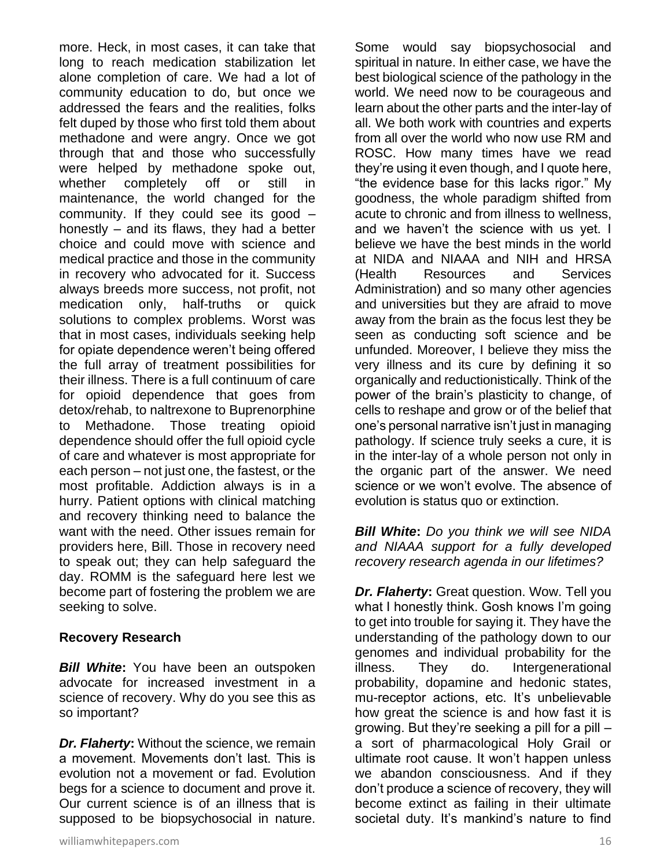more. Heck, in most cases, it can take that long to reach medication stabilization let alone completion of care. We had a lot of community education to do, but once we addressed the fears and the realities, folks felt duped by those who first told them about methadone and were angry. Once we got through that and those who successfully were helped by methadone spoke out, whether completely off or still in maintenance, the world changed for the community. If they could see its good – honestly – and its flaws, they had a better choice and could move with science and medical practice and those in the community in recovery who advocated for it. Success always breeds more success, not profit, not medication only, half-truths or quick solutions to complex problems. Worst was that in most cases, individuals seeking help for opiate dependence weren't being offered the full array of treatment possibilities for their illness. There is a full continuum of care for opioid dependence that goes from detox/rehab, to naltrexone to Buprenorphine to Methadone. Those treating opioid dependence should offer the full opioid cycle of care and whatever is most appropriate for each person – not just one, the fastest, or the most profitable. Addiction always is in a hurry. Patient options with clinical matching and recovery thinking need to balance the want with the need. Other issues remain for providers here, Bill. Those in recovery need to speak out; they can help safeguard the day. ROMM is the safeguard here lest we become part of fostering the problem we are seeking to solve.

# **Recovery Research**

*Bill White***:** You have been an outspoken advocate for increased investment in a science of recovery. Why do you see this as so important?

*Dr. Flaherty***:** Without the science, we remain a movement. Movements don't last. This is evolution not a movement or fad. Evolution begs for a science to document and prove it. Our current science is of an illness that is supposed to be biopsychosocial in nature.

Some would say biopsychosocial and spiritual in nature. In either case, we have the best biological science of the pathology in the world. We need now to be courageous and learn about the other parts and the inter-lay of all. We both work with countries and experts from all over the world who now use RM and ROSC. How many times have we read they're using it even though, and I quote here, "the evidence base for this lacks rigor." My goodness, the whole paradigm shifted from acute to chronic and from illness to wellness, and we haven't the science with us yet. I believe we have the best minds in the world at NIDA and NIAAA and NIH and HRSA (Health Resources and Services Administration) and so many other agencies and universities but they are afraid to move away from the brain as the focus lest they be seen as conducting soft science and be unfunded. Moreover, I believe they miss the very illness and its cure by defining it so organically and reductionistically. Think of the power of the brain's plasticity to change, of cells to reshape and grow or of the belief that one's personal narrative isn't just in managing pathology. If science truly seeks a cure, it is in the inter-lay of a whole person not only in the organic part of the answer. We need science or we won't evolve. The absence of evolution is status quo or extinction.

*Bill White***:** *Do you think we will see NIDA and NIAAA support for a fully developed recovery research agenda in our lifetimes?*

*Dr. Flaherty***:** Great question. Wow. Tell you what I honestly think. Gosh knows I'm going to get into trouble for saying it. They have the understanding of the pathology down to our genomes and individual probability for the illness. They do. Intergenerational probability, dopamine and hedonic states, mu-receptor actions, etc. It's unbelievable how great the science is and how fast it is growing. But they're seeking a pill for a pill – a sort of pharmacological Holy Grail or ultimate root cause. It won't happen unless we abandon consciousness. And if they don't produce a science of recovery, they will become extinct as failing in their ultimate societal duty. It's mankind's nature to find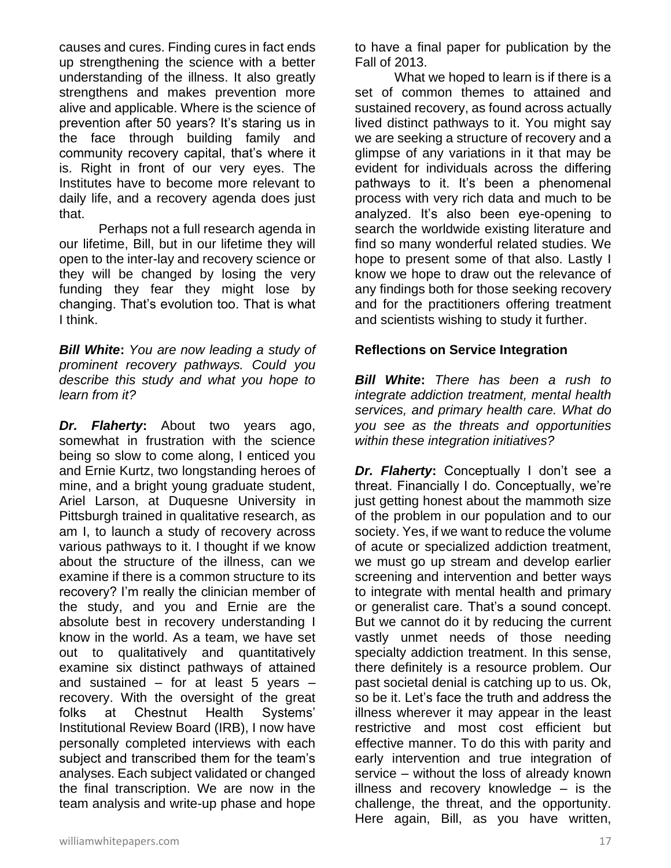causes and cures. Finding cures in fact ends up strengthening the science with a better understanding of the illness. It also greatly strengthens and makes prevention more alive and applicable. Where is the science of prevention after 50 years? It's staring us in the face through building family and community recovery capital, that's where it is. Right in front of our very eyes. The Institutes have to become more relevant to daily life, and a recovery agenda does just that.

Perhaps not a full research agenda in our lifetime, Bill, but in our lifetime they will open to the inter-lay and recovery science or they will be changed by losing the very funding they fear they might lose by changing. That's evolution too. That is what I think.

*Bill White***:** *You are now leading a study of prominent recovery pathways. Could you describe this study and what you hope to learn from it?*

*Dr. Flaherty***:** About two years ago, somewhat in frustration with the science being so slow to come along, I enticed you and Ernie Kurtz, two longstanding heroes of mine, and a bright young graduate student, Ariel Larson, at Duquesne University in Pittsburgh trained in qualitative research, as am I, to launch a study of recovery across various pathways to it. I thought if we know about the structure of the illness, can we examine if there is a common structure to its recovery? I'm really the clinician member of the study, and you and Ernie are the absolute best in recovery understanding I know in the world. As a team, we have set out to qualitatively and quantitatively examine six distinct pathways of attained and sustained  $-$  for at least 5 years  $$ recovery. With the oversight of the great folks at Chestnut Health Systems' Institutional Review Board (IRB), I now have personally completed interviews with each subject and transcribed them for the team's analyses. Each subject validated or changed the final transcription. We are now in the team analysis and write-up phase and hope

to have a final paper for publication by the Fall of 2013.

What we hoped to learn is if there is a set of common themes to attained and sustained recovery, as found across actually lived distinct pathways to it. You might say we are seeking a structure of recovery and a glimpse of any variations in it that may be evident for individuals across the differing pathways to it. It's been a phenomenal process with very rich data and much to be analyzed. It's also been eye-opening to search the worldwide existing literature and find so many wonderful related studies. We hope to present some of that also. Lastly I know we hope to draw out the relevance of any findings both for those seeking recovery and for the practitioners offering treatment and scientists wishing to study it further.

#### **Reflections on Service Integration**

*Bill White***:** *There has been a rush to integrate addiction treatment, mental health services, and primary health care. What do you see as the threats and opportunities within these integration initiatives?*

*Dr. Flaherty***:** Conceptually I don't see a threat. Financially I do. Conceptually, we're just getting honest about the mammoth size of the problem in our population and to our society. Yes, if we want to reduce the volume of acute or specialized addiction treatment, we must go up stream and develop earlier screening and intervention and better ways to integrate with mental health and primary or generalist care. That's a sound concept. But we cannot do it by reducing the current vastly unmet needs of those needing specialty addiction treatment. In this sense, there definitely is a resource problem. Our past societal denial is catching up to us. Ok, so be it. Let's face the truth and address the illness wherever it may appear in the least restrictive and most cost efficient but effective manner. To do this with parity and early intervention and true integration of service – without the loss of already known illness and recovery knowledge – is the challenge, the threat, and the opportunity. Here again, Bill, as you have written,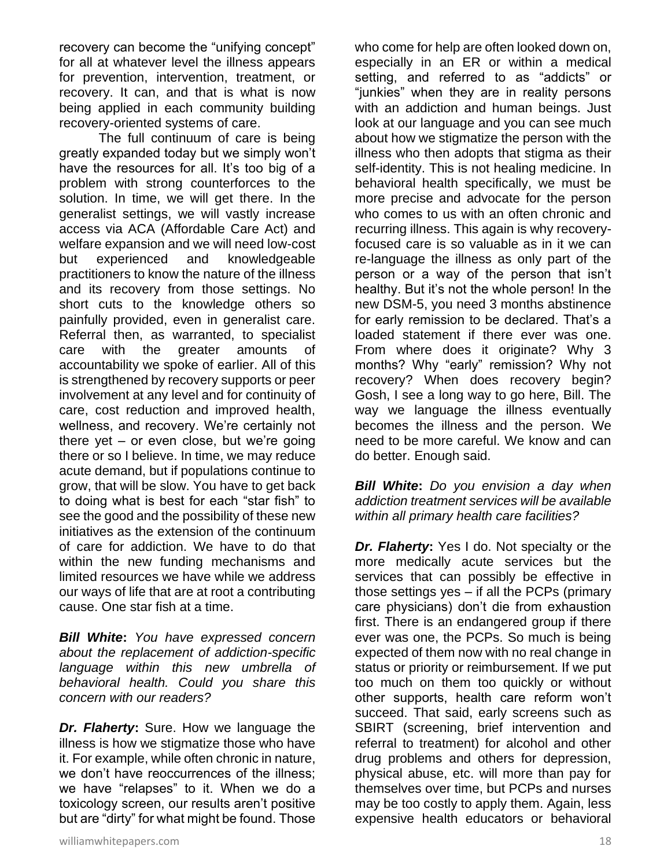recovery can become the "unifying concept" for all at whatever level the illness appears for prevention, intervention, treatment, or recovery. It can, and that is what is now being applied in each community building recovery-oriented systems of care.

The full continuum of care is being greatly expanded today but we simply won't have the resources for all. It's too big of a problem with strong counterforces to the solution. In time, we will get there. In the generalist settings, we will vastly increase access via ACA (Affordable Care Act) and welfare expansion and we will need low-cost but experienced and knowledgeable practitioners to know the nature of the illness and its recovery from those settings. No short cuts to the knowledge others so painfully provided, even in generalist care. Referral then, as warranted, to specialist care with the greater amounts of accountability we spoke of earlier. All of this is strengthened by recovery supports or peer involvement at any level and for continuity of care, cost reduction and improved health, wellness, and recovery. We're certainly not there yet – or even close, but we're going there or so I believe. In time, we may reduce acute demand, but if populations continue to grow, that will be slow. You have to get back to doing what is best for each "star fish" to see the good and the possibility of these new initiatives as the extension of the continuum of care for addiction. We have to do that within the new funding mechanisms and limited resources we have while we address our ways of life that are at root a contributing cause. One star fish at a time.

*Bill White***:** *You have expressed concern about the replacement of addiction-specific language within this new umbrella of behavioral health. Could you share this concern with our readers?*

*Dr. Flaherty***:** Sure. How we language the illness is how we stigmatize those who have it. For example, while often chronic in nature, we don't have reoccurrences of the illness; we have "relapses" to it. When we do a toxicology screen, our results aren't positive but are "dirty" for what might be found. Those

who come for help are often looked down on, especially in an ER or within a medical setting, and referred to as "addicts" or "junkies" when they are in reality persons with an addiction and human beings. Just look at our language and you can see much about how we stigmatize the person with the illness who then adopts that stigma as their self-identity. This is not healing medicine. In behavioral health specifically, we must be more precise and advocate for the person who comes to us with an often chronic and recurring illness. This again is why recoveryfocused care is so valuable as in it we can re-language the illness as only part of the person or a way of the person that isn't healthy. But it's not the whole person! In the new DSM-5, you need 3 months abstinence for early remission to be declared. That's a loaded statement if there ever was one. From where does it originate? Why 3 months? Why "early" remission? Why not recovery? When does recovery begin? Gosh, I see a long way to go here, Bill. The way we language the illness eventually becomes the illness and the person. We need to be more careful. We know and can do better. Enough said.

*Bill White***:** *Do you envision a day when addiction treatment services will be available within all primary health care facilities?*

*Dr. Flaherty***:** Yes I do. Not specialty or the more medically acute services but the services that can possibly be effective in those settings yes – if all the PCPs (primary care physicians) don't die from exhaustion first. There is an endangered group if there ever was one, the PCPs. So much is being expected of them now with no real change in status or priority or reimbursement. If we put too much on them too quickly or without other supports, health care reform won't succeed. That said, early screens such as SBIRT (screening, brief intervention and referral to treatment) for alcohol and other drug problems and others for depression, physical abuse, etc. will more than pay for themselves over time, but PCPs and nurses may be too costly to apply them. Again, less expensive health educators or behavioral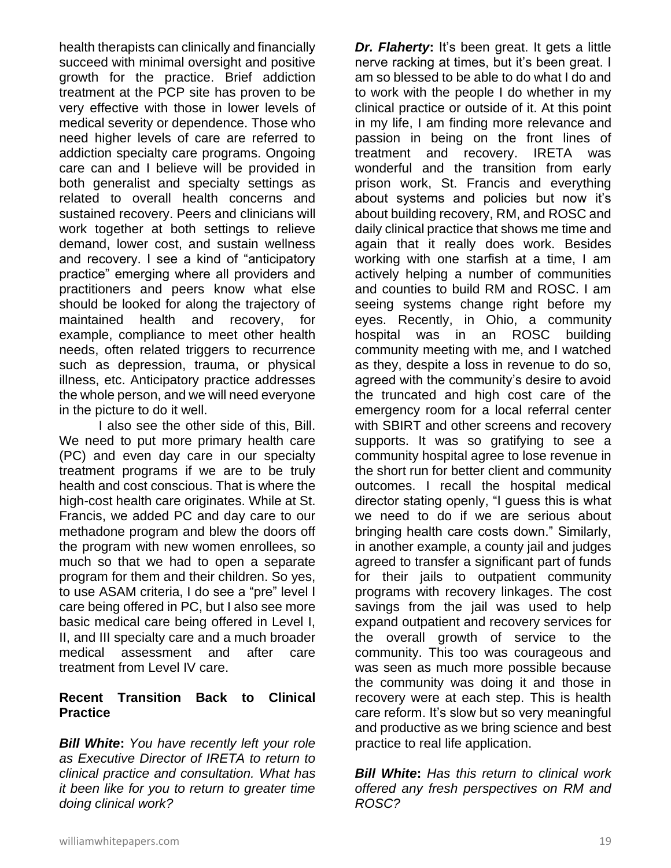health therapists can clinically and financially succeed with minimal oversight and positive growth for the practice. Brief addiction treatment at the PCP site has proven to be very effective with those in lower levels of medical severity or dependence. Those who need higher levels of care are referred to addiction specialty care programs. Ongoing care can and I believe will be provided in both generalist and specialty settings as related to overall health concerns and sustained recovery. Peers and clinicians will work together at both settings to relieve demand, lower cost, and sustain wellness and recovery. I see a kind of "anticipatory practice" emerging where all providers and practitioners and peers know what else should be looked for along the trajectory of maintained health and recovery, for example, compliance to meet other health needs, often related triggers to recurrence such as depression, trauma, or physical illness, etc. Anticipatory practice addresses the whole person, and we will need everyone in the picture to do it well.

I also see the other side of this, Bill. We need to put more primary health care (PC) and even day care in our specialty treatment programs if we are to be truly health and cost conscious. That is where the high-cost health care originates. While at St. Francis, we added PC and day care to our methadone program and blew the doors off the program with new women enrollees, so much so that we had to open a separate program for them and their children. So yes, to use ASAM criteria, I do see a "pre" level I care being offered in PC, but I also see more basic medical care being offered in Level I, II, and III specialty care and a much broader medical assessment and after care treatment from Level IV care.

# **Recent Transition Back to Clinical Practice**

*Bill White***:** *You have recently left your role as Executive Director of IRETA to return to clinical practice and consultation. What has it been like for you to return to greater time doing clinical work?*

*Dr. Flaherty***:** It's been great. It gets a little nerve racking at times, but it's been great. I am so blessed to be able to do what I do and to work with the people I do whether in my clinical practice or outside of it. At this point in my life, I am finding more relevance and passion in being on the front lines of treatment and recovery. IRETA was wonderful and the transition from early prison work, St. Francis and everything about systems and policies but now it's about building recovery, RM, and ROSC and daily clinical practice that shows me time and again that it really does work. Besides working with one starfish at a time, I am actively helping a number of communities and counties to build RM and ROSC. I am seeing systems change right before my eyes. Recently, in Ohio, a community hospital was in an ROSC building community meeting with me, and I watched as they, despite a loss in revenue to do so, agreed with the community's desire to avoid the truncated and high cost care of the emergency room for a local referral center with SBIRT and other screens and recovery supports. It was so gratifying to see a community hospital agree to lose revenue in the short run for better client and community outcomes. I recall the hospital medical director stating openly, "I guess this is what we need to do if we are serious about bringing health care costs down." Similarly, in another example, a county jail and judges agreed to transfer a significant part of funds for their jails to outpatient community programs with recovery linkages. The cost savings from the jail was used to help expand outpatient and recovery services for the overall growth of service to the community. This too was courageous and was seen as much more possible because the community was doing it and those in recovery were at each step. This is health care reform. It's slow but so very meaningful and productive as we bring science and best practice to real life application.

*Bill White***:** *Has this return to clinical work offered any fresh perspectives on RM and ROSC?*